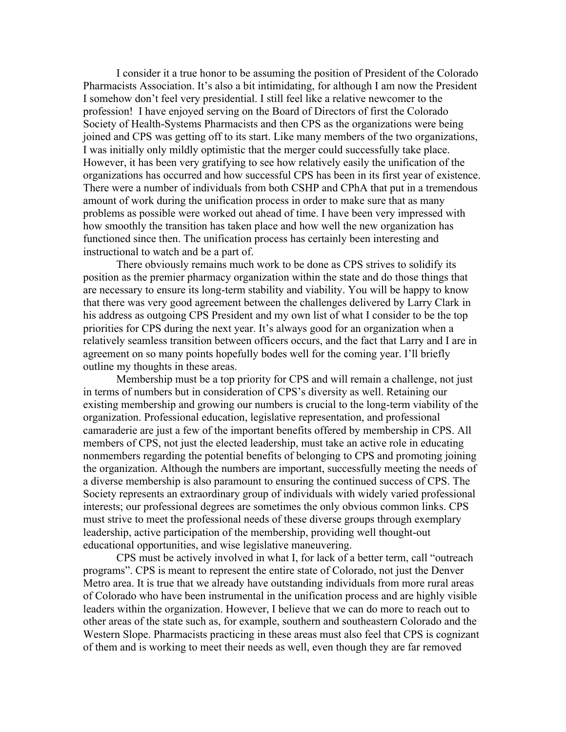I consider it a true honor to be assuming the position of President of the Colorado Pharmacists Association. It's also a bit intimidating, for although I am now the President I somehow don't feel very presidential. I still feel like a relative newcomer to the profession! I have enjoyed serving on the Board of Directors of first the Colorado Society of Health-Systems Pharmacists and then CPS as the organizations were being joined and CPS was getting off to its start. Like many members of the two organizations, I was initially only mildly optimistic that the merger could successfully take place. However, it has been very gratifying to see how relatively easily the unification of the organizations has occurred and how successful CPS has been in its first year of existence. There were a number of individuals from both CSHP and CPhA that put in a tremendous amount of work during the unification process in order to make sure that as many problems as possible were worked out ahead of time. I have been very impressed with how smoothly the transition has taken place and how well the new organization has functioned since then. The unification process has certainly been interesting and instructional to watch and be a part of.

There obviously remains much work to be done as CPS strives to solidify its position as the premier pharmacy organization within the state and do those things that are necessary to ensure its long-term stability and viability. You will be happy to know that there was very good agreement between the challenges delivered by Larry Clark in his address as outgoing CPS President and my own list of what I consider to be the top priorities for CPS during the next year. It's always good for an organization when a relatively seamless transition between officers occurs, and the fact that Larry and I are in agreement on so many points hopefully bodes well for the coming year. I'll briefly outline my thoughts in these areas.

Membership must be a top priority for CPS and will remain a challenge, not just in terms of numbers but in consideration of CPS's diversity as well. Retaining our existing membership and growing our numbers is crucial to the long-term viability of the organization. Professional education, legislative representation, and professional camaraderie are just a few of the important benefits offered by membership in CPS. All members of CPS, not just the elected leadership, must take an active role in educating nonmembers regarding the potential benefits of belonging to CPS and promoting joining the organization. Although the numbers are important, successfully meeting the needs of a diverse membership is also paramount to ensuring the continued success of CPS. The Society represents an extraordinary group of individuals with widely varied professional interests; our professional degrees are sometimes the only obvious common links. CPS must strive to meet the professional needs of these diverse groups through exemplary leadership, active participation of the membership, providing well thought-out educational opportunities, and wise legislative maneuvering.

CPS must be actively involved in what I, for lack of a better term, call "outreach programs". CPS is meant to represent the entire state of Colorado, not just the Denver Metro area. It is true that we already have outstanding individuals from more rural areas of Colorado who have been instrumental in the unification process and are highly visible leaders within the organization. However, I believe that we can do more to reach out to other areas of the state such as, for example, southern and southeastern Colorado and the Western Slope. Pharmacists practicing in these areas must also feel that CPS is cognizant of them and is working to meet their needs as well, even though they are far removed